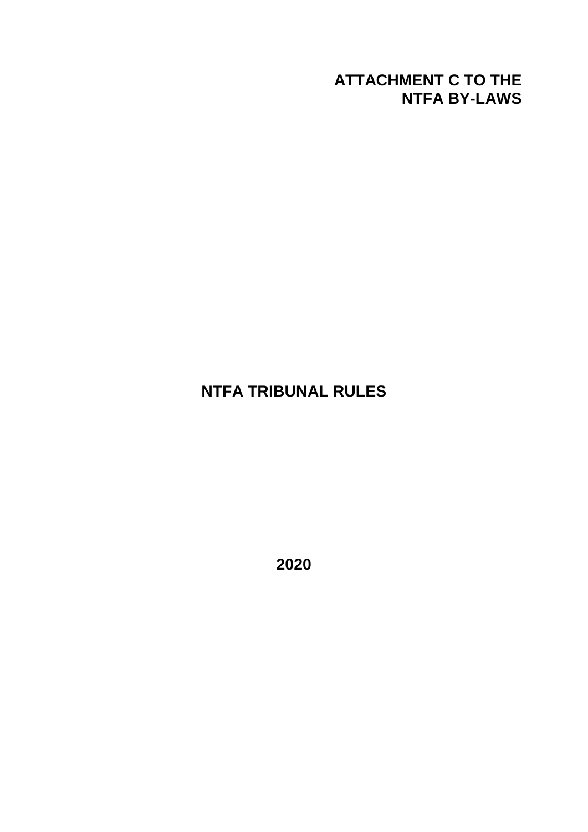# **ATTACHMENT C TO THE NTFA BY-LAWS**

# **NTFA TRIBUNAL RULES**

**2020**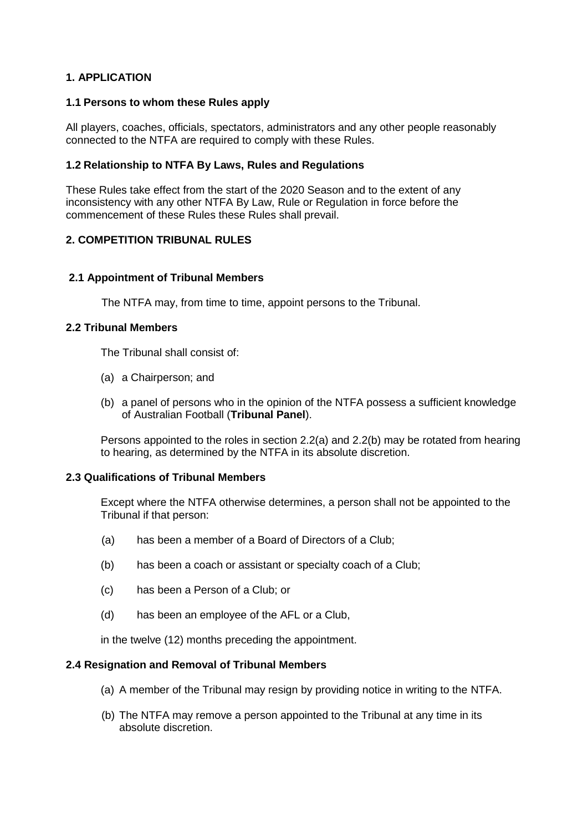# **1. APPLICATION**

## **1.1 Persons to whom these Rules apply**

All players, coaches, officials, spectators, administrators and any other people reasonably connected to the NTFA are required to comply with these Rules.

## **1.2 Relationship to NTFA By Laws, Rules and Regulations**

These Rules take effect from the start of the 2020 Season and to the extent of any inconsistency with any other NTFA By Law, Rule or Regulation in force before the commencement of these Rules these Rules shall prevail.

## **2. COMPETITION TRIBUNAL RULES**

## **2.1 Appointment of Tribunal Members**

The NTFA may, from time to time, appoint persons to the Tribunal.

## **2.2 Tribunal Members**

The Tribunal shall consist of:

- (a) a Chairperson; and
- (b) a panel of persons who in the opinion of the NTFA possess a sufficient knowledge of Australian Football (**Tribunal Panel**).

Persons appointed to the roles in section 2.2(a) and 2.2(b) may be rotated from hearing to hearing, as determined by the NTFA in its absolute discretion.

#### **2.3 Qualifications of Tribunal Members**

Except where the NTFA otherwise determines, a person shall not be appointed to the Tribunal if that person:

- (a) has been a member of a Board of Directors of a Club;
- (b) has been a coach or assistant or specialty coach of a Club;
- (c) has been a Person of a Club; or
- (d) has been an employee of the AFL or a Club,

in the twelve (12) months preceding the appointment.

#### **2.4 Resignation and Removal of Tribunal Members**

- (a) A member of the Tribunal may resign by providing notice in writing to the NTFA.
- (b) The NTFA may remove a person appointed to the Tribunal at any time in its absolute discretion.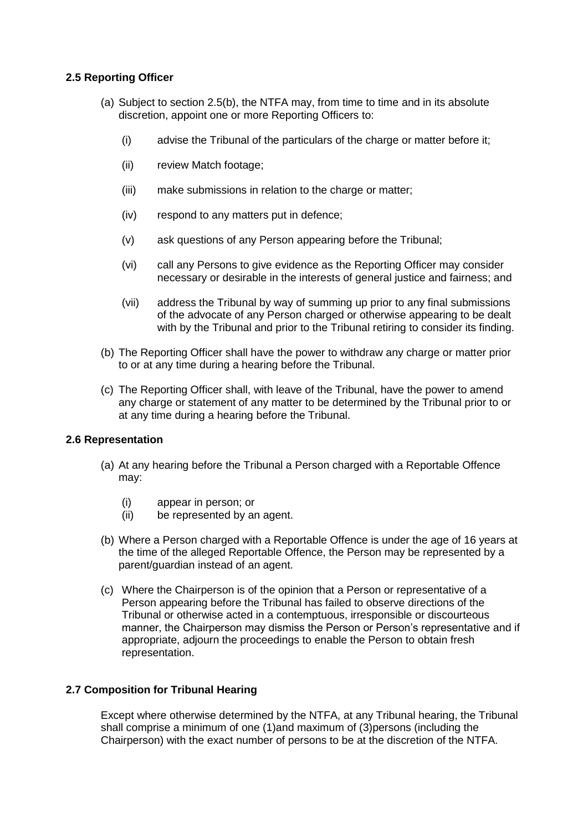## **2.5 Reporting Officer**

- (a) Subject to section 2.5(b), the NTFA may, from time to time and in its absolute discretion, appoint one or more Reporting Officers to:
	- (i) advise the Tribunal of the particulars of the charge or matter before it;
	- (ii) review Match footage;
	- (iii) make submissions in relation to the charge or matter;
	- (iv) respond to any matters put in defence;
	- (v) ask questions of any Person appearing before the Tribunal;
	- (vi) call any Persons to give evidence as the Reporting Officer may consider necessary or desirable in the interests of general justice and fairness; and
	- (vii) address the Tribunal by way of summing up prior to any final submissions of the advocate of any Person charged or otherwise appearing to be dealt with by the Tribunal and prior to the Tribunal retiring to consider its finding.
- (b) The Reporting Officer shall have the power to withdraw any charge or matter prior to or at any time during a hearing before the Tribunal.
- (c) The Reporting Officer shall, with leave of the Tribunal, have the power to amend any charge or statement of any matter to be determined by the Tribunal prior to or at any time during a hearing before the Tribunal.

## **2.6 Representation**

- (a) At any hearing before the Tribunal a Person charged with a Reportable Offence may:
	- (i) appear in person; or
	- (ii) be represented by an agent.
- (b) Where a Person charged with a Reportable Offence is under the age of 16 years at the time of the alleged Reportable Offence, the Person may be represented by a parent/guardian instead of an agent.
- (c) Where the Chairperson is of the opinion that a Person or representative of a Person appearing before the Tribunal has failed to observe directions of the Tribunal or otherwise acted in a contemptuous, irresponsible or discourteous manner, the Chairperson may dismiss the Person or Person's representative and if appropriate, adjourn the proceedings to enable the Person to obtain fresh representation.

## **2.7 Composition for Tribunal Hearing**

Except where otherwise determined by the NTFA, at any Tribunal hearing, the Tribunal shall comprise a minimum of one (1)and maximum of (3)persons (including the Chairperson) with the exact number of persons to be at the discretion of the NTFA.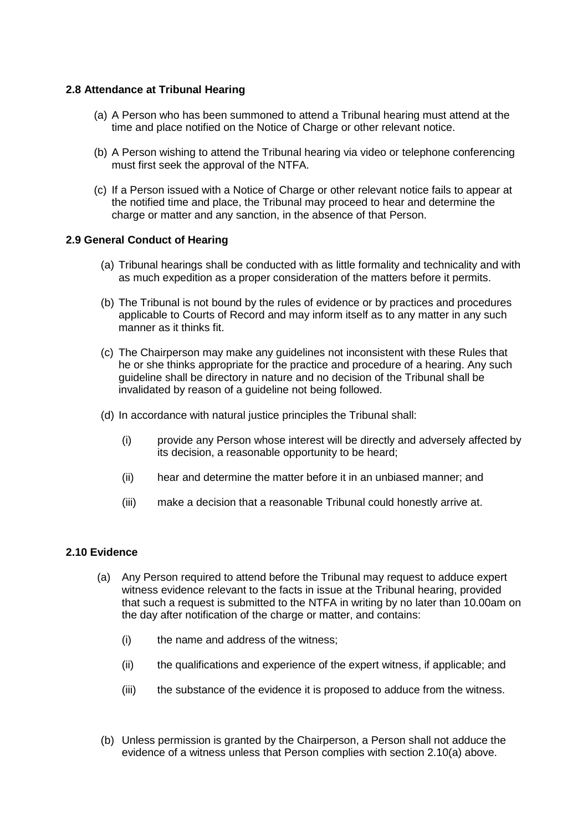## **2.8 Attendance at Tribunal Hearing**

- (a) A Person who has been summoned to attend a Tribunal hearing must attend at the time and place notified on the Notice of Charge or other relevant notice.
- (b) A Person wishing to attend the Tribunal hearing via video or telephone conferencing must first seek the approval of the NTFA.
- (c) If a Person issued with a Notice of Charge or other relevant notice fails to appear at the notified time and place, the Tribunal may proceed to hear and determine the charge or matter and any sanction, in the absence of that Person.

## **2.9 General Conduct of Hearing**

- (a) Tribunal hearings shall be conducted with as little formality and technicality and with as much expedition as a proper consideration of the matters before it permits.
- (b) The Tribunal is not bound by the rules of evidence or by practices and procedures applicable to Courts of Record and may inform itself as to any matter in any such manner as it thinks fit.
- (c) The Chairperson may make any guidelines not inconsistent with these Rules that he or she thinks appropriate for the practice and procedure of a hearing. Any such guideline shall be directory in nature and no decision of the Tribunal shall be invalidated by reason of a guideline not being followed.
- (d) In accordance with natural justice principles the Tribunal shall:
	- (i) provide any Person whose interest will be directly and adversely affected by its decision, a reasonable opportunity to be heard;
	- (ii) hear and determine the matter before it in an unbiased manner; and
	- (iii) make a decision that a reasonable Tribunal could honestly arrive at.

#### **2.10 Evidence**

- (a) Any Person required to attend before the Tribunal may request to adduce expert witness evidence relevant to the facts in issue at the Tribunal hearing, provided that such a request is submitted to the NTFA in writing by no later than 10.00am on the day after notification of the charge or matter, and contains:
	- (i) the name and address of the witness;
	- (ii) the qualifications and experience of the expert witness, if applicable; and
	- (iii) the substance of the evidence it is proposed to adduce from the witness.
- (b) Unless permission is granted by the Chairperson, a Person shall not adduce the evidence of a witness unless that Person complies with section 2.10(a) above.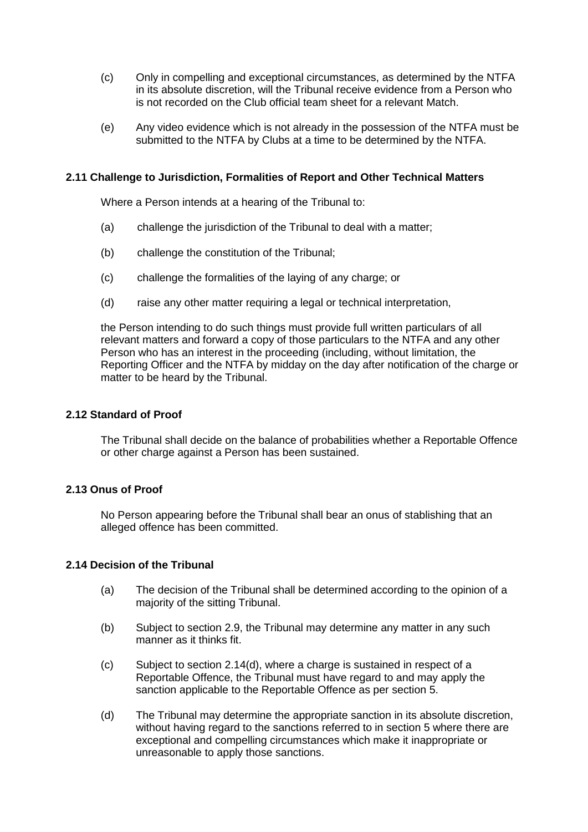- (c) Only in compelling and exceptional circumstances, as determined by the NTFA in its absolute discretion, will the Tribunal receive evidence from a Person who is not recorded on the Club official team sheet for a relevant Match.
- (e) Any video evidence which is not already in the possession of the NTFA must be submitted to the NTFA by Clubs at a time to be determined by the NTFA.

## **2.11 Challenge to Jurisdiction, Formalities of Report and Other Technical Matters**

Where a Person intends at a hearing of the Tribunal to:

- (a) challenge the jurisdiction of the Tribunal to deal with a matter;
- (b) challenge the constitution of the Tribunal;
- (c) challenge the formalities of the laying of any charge; or
- (d) raise any other matter requiring a legal or technical interpretation,

the Person intending to do such things must provide full written particulars of all relevant matters and forward a copy of those particulars to the NTFA and any other Person who has an interest in the proceeding (including, without limitation, the Reporting Officer and the NTFA by midday on the day after notification of the charge or matter to be heard by the Tribunal.

#### **2.12 Standard of Proof**

The Tribunal shall decide on the balance of probabilities whether a Reportable Offence or other charge against a Person has been sustained.

#### **2.13 Onus of Proof**

No Person appearing before the Tribunal shall bear an onus of stablishing that an alleged offence has been committed.

#### **2.14 Decision of the Tribunal**

- (a) The decision of the Tribunal shall be determined according to the opinion of a majority of the sitting Tribunal.
- (b) Subject to section 2.9, the Tribunal may determine any matter in any such manner as it thinks fit.
- (c) Subject to section 2.14(d), where a charge is sustained in respect of a Reportable Offence, the Tribunal must have regard to and may apply the sanction applicable to the Reportable Offence as per section 5.
- (d) The Tribunal may determine the appropriate sanction in its absolute discretion, without having regard to the sanctions referred to in section 5 where there are exceptional and compelling circumstances which make it inappropriate or unreasonable to apply those sanctions.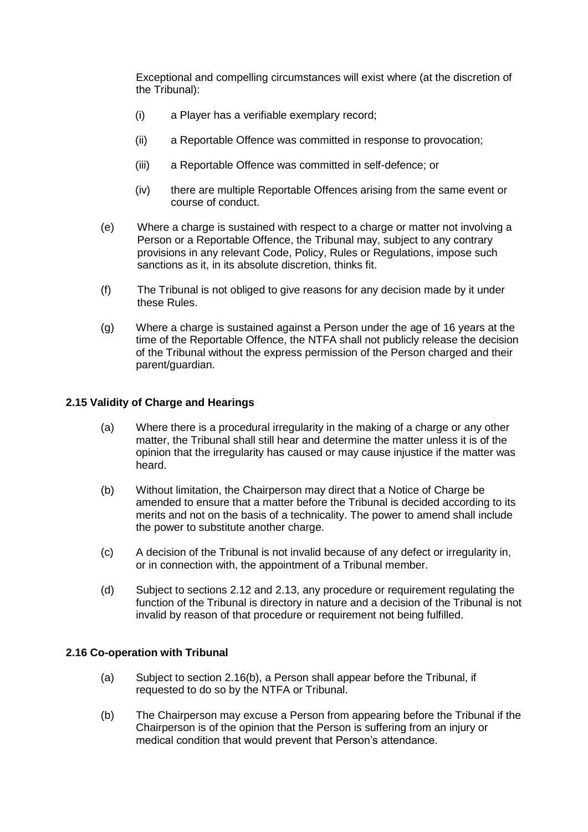Exceptional and compelling circumstances will exist where (at the discretion of the Tribunal):

- (i) a Player has a verifiable exemplary record;
- (ii) a Reportable Offence was committed in response to provocation;
- (iii) a Reportable Offence was committed in self-defence; or
- (iv) there are multiple Reportable Offences arising from the same event or course of conduct.
- (e) Where a charge is sustained with respect to a charge or matter not involving a Person or a Reportable Offence, the Tribunal may, subject to any contrary provisions in any relevant Code, Policy, Rules or Regulations, impose such sanctions as it, in its absolute discretion, thinks fit.
- (f) The Tribunal is not obliged to give reasons for any decision made by it under these Rules.
- (g) Where a charge is sustained against a Person under the age of 16 years at the time of the Reportable Offence, the NTFA shall not publicly release the decision of the Tribunal without the express permission of the Person charged and their parent/guardian.

## **2.15 Validity of Charge and Hearings**

- (a) Where there is a procedural irregularity in the making of a charge or any other matter, the Tribunal shall still hear and determine the matter unless it is of the opinion that the irregularity has caused or may cause injustice if the matter was heard.
- (b) Without limitation, the Chairperson may direct that a Notice of Charge be amended to ensure that a matter before the Tribunal is decided according to its merits and not on the basis of a technicality. The power to amend shall include the power to substitute another charge.
- (c) A decision of the Tribunal is not invalid because of any defect or irregularity in, or in connection with, the appointment of a Tribunal member.
- (d) Subject to sections 2.12 and 2.13, any procedure or requirement regulating the function of the Tribunal is directory in nature and a decision of the Tribunal is not invalid by reason of that procedure or requirement not being fulfilled.

#### **2.16 Co-operation with Tribunal**

- (a) Subject to section 2.16(b), a Person shall appear before the Tribunal, if requested to do so by the NTFA or Tribunal.
- (b) The Chairperson may excuse a Person from appearing before the Tribunal if the Chairperson is of the opinion that the Person is suffering from an injury or medical condition that would prevent that Person's attendance.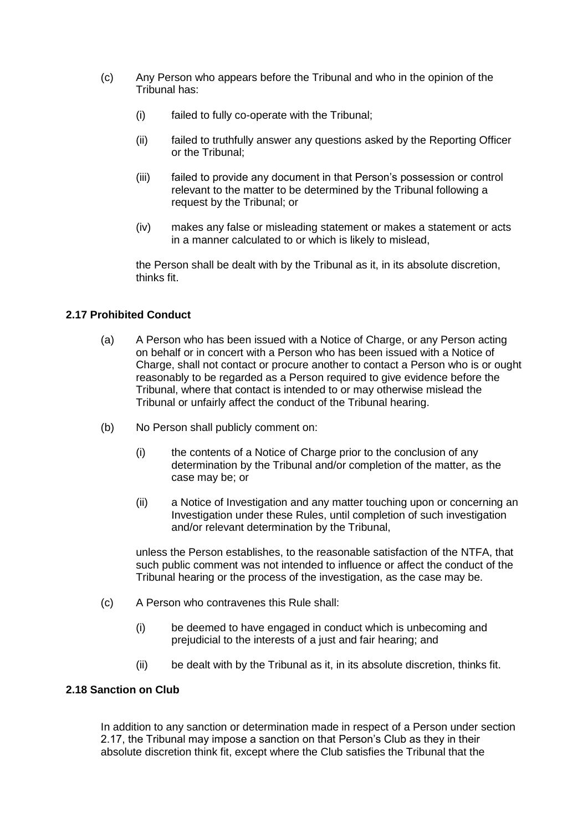- (c) Any Person who appears before the Tribunal and who in the opinion of the Tribunal has:
	- (i) failed to fully co-operate with the Tribunal;
	- (ii) failed to truthfully answer any questions asked by the Reporting Officer or the Tribunal;
	- (iii) failed to provide any document in that Person's possession or control relevant to the matter to be determined by the Tribunal following a request by the Tribunal; or
	- (iv) makes any false or misleading statement or makes a statement or acts in a manner calculated to or which is likely to mislead,

the Person shall be dealt with by the Tribunal as it, in its absolute discretion, thinks fit.

## **2.17 Prohibited Conduct**

- (a) A Person who has been issued with a Notice of Charge, or any Person acting on behalf or in concert with a Person who has been issued with a Notice of Charge, shall not contact or procure another to contact a Person who is or ought reasonably to be regarded as a Person required to give evidence before the Tribunal, where that contact is intended to or may otherwise mislead the Tribunal or unfairly affect the conduct of the Tribunal hearing.
- (b) No Person shall publicly comment on:
	- (i) the contents of a Notice of Charge prior to the conclusion of any determination by the Tribunal and/or completion of the matter, as the case may be; or
	- (ii) a Notice of Investigation and any matter touching upon or concerning an Investigation under these Rules, until completion of such investigation and/or relevant determination by the Tribunal,

unless the Person establishes, to the reasonable satisfaction of the NTFA, that such public comment was not intended to influence or affect the conduct of the Tribunal hearing or the process of the investigation, as the case may be.

- (c) A Person who contravenes this Rule shall:
	- (i) be deemed to have engaged in conduct which is unbecoming and prejudicial to the interests of a just and fair hearing; and
	- (ii) be dealt with by the Tribunal as it, in its absolute discretion, thinks fit.

# **2.18 Sanction on Club**

In addition to any sanction or determination made in respect of a Person under section 2.17, the Tribunal may impose a sanction on that Person's Club as they in their absolute discretion think fit, except where the Club satisfies the Tribunal that the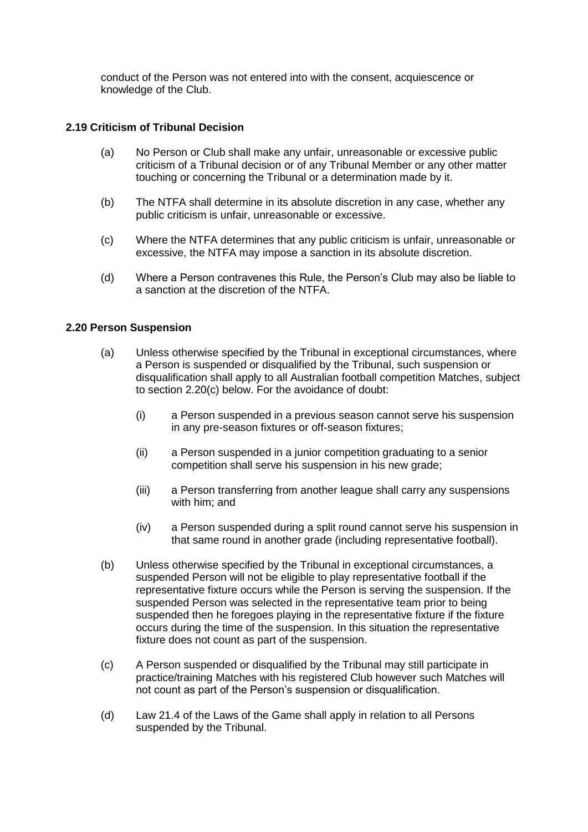conduct of the Person was not entered into with the consent, acquiescence or knowledge of the Club.

## **2.19 Criticism of Tribunal Decision**

- (a) No Person or Club shall make any unfair, unreasonable or excessive public criticism of a Tribunal decision or of any Tribunal Member or any other matter touching or concerning the Tribunal or a determination made by it.
- (b) The NTFA shall determine in its absolute discretion in any case, whether any public criticism is unfair, unreasonable or excessive.
- (c) Where the NTFA determines that any public criticism is unfair, unreasonable or excessive, the NTFA may impose a sanction in its absolute discretion.
- (d) Where a Person contravenes this Rule, the Person's Club may also be liable to a sanction at the discretion of the NTFA.

## **2.20 Person Suspension**

- (a) Unless otherwise specified by the Tribunal in exceptional circumstances, where a Person is suspended or disqualified by the Tribunal, such suspension or disqualification shall apply to all Australian football competition Matches, subject to section 2.20(c) below. For the avoidance of doubt:
	- (i) a Person suspended in a previous season cannot serve his suspension in any pre-season fixtures or off-season fixtures;
	- (ii) a Person suspended in a junior competition graduating to a senior competition shall serve his suspension in his new grade;
	- (iii) a Person transferring from another league shall carry any suspensions with him; and
	- (iv) a Person suspended during a split round cannot serve his suspension in that same round in another grade (including representative football).
- (b) Unless otherwise specified by the Tribunal in exceptional circumstances, a suspended Person will not be eligible to play representative football if the representative fixture occurs while the Person is serving the suspension. If the suspended Person was selected in the representative team prior to being suspended then he foregoes playing in the representative fixture if the fixture occurs during the time of the suspension. In this situation the representative fixture does not count as part of the suspension.
- (c) A Person suspended or disqualified by the Tribunal may still participate in practice/training Matches with his registered Club however such Matches will not count as part of the Person's suspension or disqualification.
- (d) Law 21.4 of the Laws of the Game shall apply in relation to all Persons suspended by the Tribunal.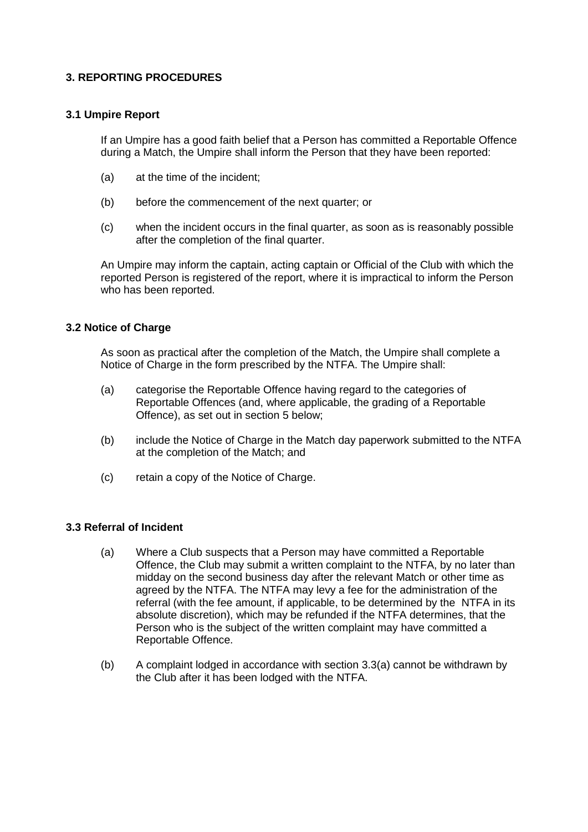# **3. REPORTING PROCEDURES**

## **3.1 Umpire Report**

If an Umpire has a good faith belief that a Person has committed a Reportable Offence during a Match, the Umpire shall inform the Person that they have been reported:

- (a) at the time of the incident;
- (b) before the commencement of the next quarter; or
- (c) when the incident occurs in the final quarter, as soon as is reasonably possible after the completion of the final quarter.

An Umpire may inform the captain, acting captain or Official of the Club with which the reported Person is registered of the report, where it is impractical to inform the Person who has been reported.

## **3.2 Notice of Charge**

As soon as practical after the completion of the Match, the Umpire shall complete a Notice of Charge in the form prescribed by the NTFA. The Umpire shall:

- (a) categorise the Reportable Offence having regard to the categories of Reportable Offences (and, where applicable, the grading of a Reportable Offence), as set out in section 5 below;
- (b) include the Notice of Charge in the Match day paperwork submitted to the NTFA at the completion of the Match; and
- (c) retain a copy of the Notice of Charge.

## **3.3 Referral of Incident**

- (a) Where a Club suspects that a Person may have committed a Reportable Offence, the Club may submit a written complaint to the NTFA, by no later than midday on the second business day after the relevant Match or other time as agreed by the NTFA. The NTFA may levy a fee for the administration of the referral (with the fee amount, if applicable, to be determined by the NTFA in its absolute discretion), which may be refunded if the NTFA determines, that the Person who is the subject of the written complaint may have committed a Reportable Offence.
- (b) A complaint lodged in accordance with section 3.3(a) cannot be withdrawn by the Club after it has been lodged with the NTFA.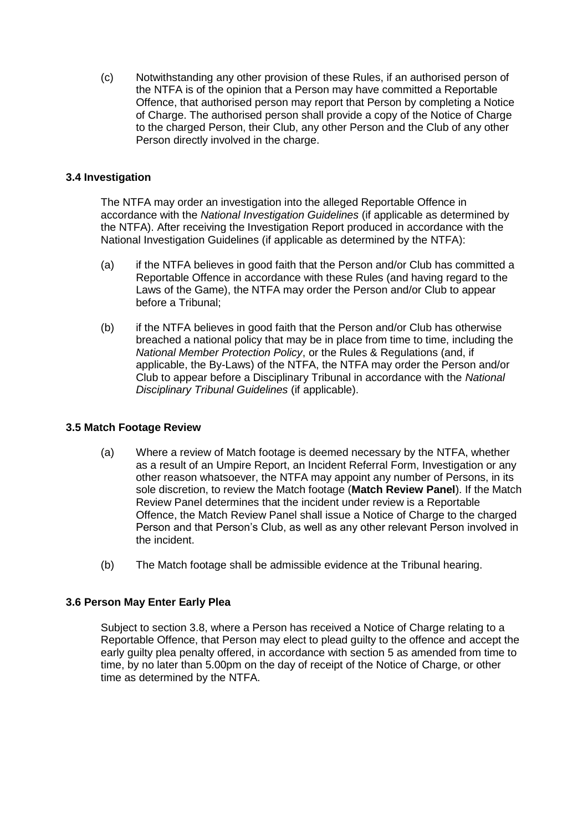(c) Notwithstanding any other provision of these Rules, if an authorised person of the NTFA is of the opinion that a Person may have committed a Reportable Offence, that authorised person may report that Person by completing a Notice of Charge. The authorised person shall provide a copy of the Notice of Charge to the charged Person, their Club, any other Person and the Club of any other Person directly involved in the charge.

## **3.4 Investigation**

The NTFA may order an investigation into the alleged Reportable Offence in accordance with the *National Investigation Guidelines* (if applicable as determined by the NTFA). After receiving the Investigation Report produced in accordance with the National Investigation Guidelines (if applicable as determined by the NTFA):

- (a) if the NTFA believes in good faith that the Person and/or Club has committed a Reportable Offence in accordance with these Rules (and having regard to the Laws of the Game), the NTFA may order the Person and/or Club to appear before a Tribunal;
- (b) if the NTFA believes in good faith that the Person and/or Club has otherwise breached a national policy that may be in place from time to time, including the *National Member Protection Policy*, or the Rules & Regulations (and, if applicable, the By-Laws) of the NTFA, the NTFA may order the Person and/or Club to appear before a Disciplinary Tribunal in accordance with the *National Disciplinary Tribunal Guidelines* (if applicable).

## **3.5 Match Footage Review**

- (a) Where a review of Match footage is deemed necessary by the NTFA, whether as a result of an Umpire Report, an Incident Referral Form, Investigation or any other reason whatsoever, the NTFA may appoint any number of Persons, in its sole discretion, to review the Match footage (**Match Review Panel**). If the Match Review Panel determines that the incident under review is a Reportable Offence, the Match Review Panel shall issue a Notice of Charge to the charged Person and that Person's Club, as well as any other relevant Person involved in the incident.
- (b) The Match footage shall be admissible evidence at the Tribunal hearing.

## **3.6 Person May Enter Early Plea**

Subject to section 3.8, where a Person has received a Notice of Charge relating to a Reportable Offence, that Person may elect to plead guilty to the offence and accept the early guilty plea penalty offered, in accordance with section 5 as amended from time to time, by no later than 5.00pm on the day of receipt of the Notice of Charge, or other time as determined by the NTFA.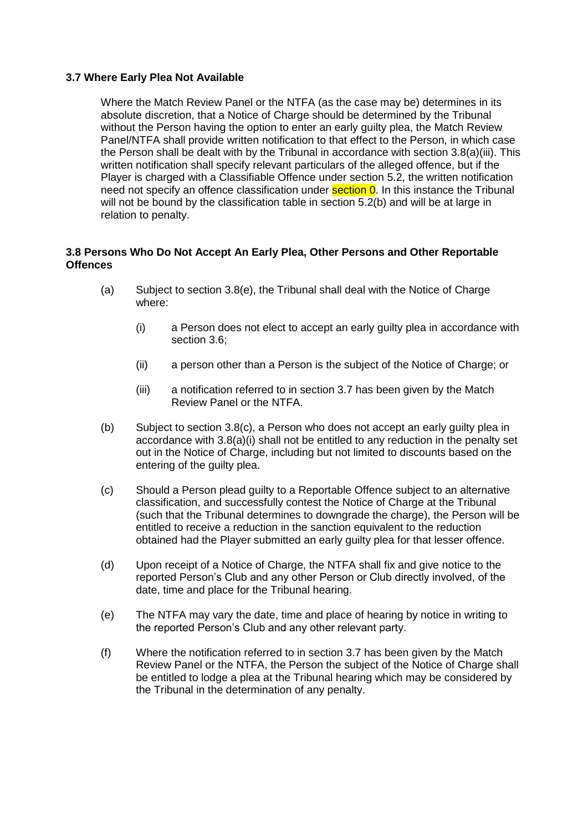## **3.7 Where Early Plea Not Available**

Where the Match Review Panel or the NTFA (as the case may be) determines in its absolute discretion, that a Notice of Charge should be determined by the Tribunal without the Person having the option to enter an early guilty plea, the Match Review Panel/NTFA shall provide written notification to that effect to the Person, in which case the Person shall be dealt with by the Tribunal in accordance with section 3.8(a)(iii). This written notification shall specify relevant particulars of the alleged offence, but if the Player is charged with a Classifiable Offence under section 5.2, the written notification need not specify an offence classification under **section 0**. In this instance the Tribunal will not be bound by the classification table in section 5.2(b) and will be at large in relation to penalty.

## **3.8 Persons Who Do Not Accept An Early Plea, Other Persons and Other Reportable Offences**

- (a) Subject to section 3.8(e), the Tribunal shall deal with the Notice of Charge where:
	- (i) a Person does not elect to accept an early guilty plea in accordance with section 3.6;
	- (ii) a person other than a Person is the subject of the Notice of Charge; or
	- (iii) a notification referred to in section 3.7 has been given by the Match Review Panel or the NTFA.
- (b) Subject to section 3.8(c), a Person who does not accept an early guilty plea in accordance with 3.8(a)(i) shall not be entitled to any reduction in the penalty set out in the Notice of Charge, including but not limited to discounts based on the entering of the guilty plea.
- (c) Should a Person plead guilty to a Reportable Offence subject to an alternative classification, and successfully contest the Notice of Charge at the Tribunal (such that the Tribunal determines to downgrade the charge), the Person will be entitled to receive a reduction in the sanction equivalent to the reduction obtained had the Player submitted an early guilty plea for that lesser offence.
- (d) Upon receipt of a Notice of Charge, the NTFA shall fix and give notice to the reported Person's Club and any other Person or Club directly involved, of the date, time and place for the Tribunal hearing.
- (e) The NTFA may vary the date, time and place of hearing by notice in writing to the reported Person's Club and any other relevant party.
- (f) Where the notification referred to in section 3.7 has been given by the Match Review Panel or the NTFA, the Person the subject of the Notice of Charge shall be entitled to lodge a plea at the Tribunal hearing which may be considered by the Tribunal in the determination of any penalty.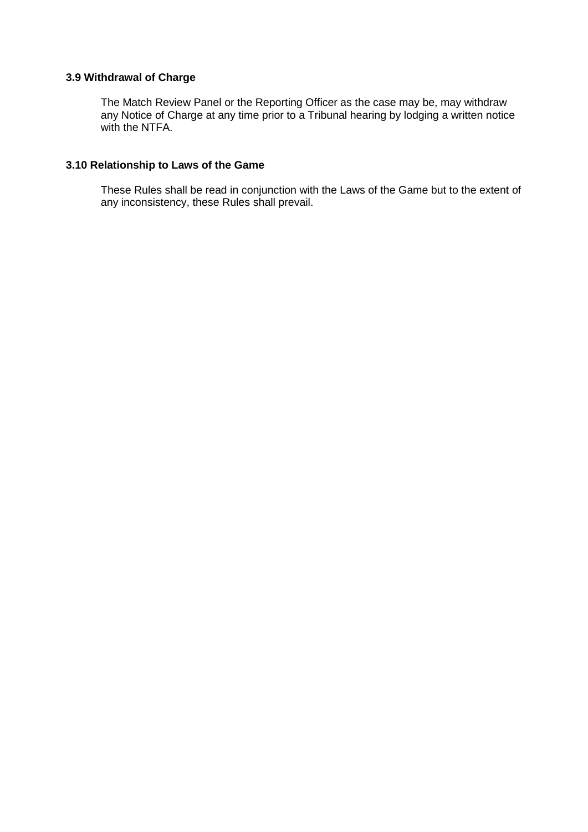# **3.9 Withdrawal of Charge**

The Match Review Panel or the Reporting Officer as the case may be, may withdraw any Notice of Charge at any time prior to a Tribunal hearing by lodging a written notice with the NTFA.

# **3.10 Relationship to Laws of the Game**

These Rules shall be read in conjunction with the Laws of the Game but to the extent of any inconsistency, these Rules shall prevail.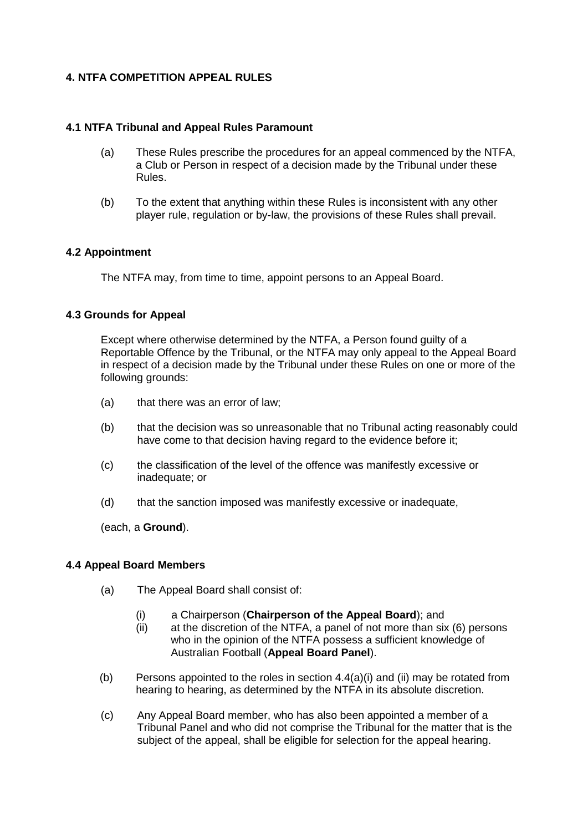# **4. NTFA COMPETITION APPEAL RULES**

## **4.1 NTFA Tribunal and Appeal Rules Paramount**

- (a) These Rules prescribe the procedures for an appeal commenced by the NTFA, a Club or Person in respect of a decision made by the Tribunal under these Rules.
- (b) To the extent that anything within these Rules is inconsistent with any other player rule, regulation or by-law, the provisions of these Rules shall prevail.

## **4.2 Appointment**

The NTFA may, from time to time, appoint persons to an Appeal Board.

## **4.3 Grounds for Appeal**

Except where otherwise determined by the NTFA, a Person found guilty of a Reportable Offence by the Tribunal, or the NTFA may only appeal to the Appeal Board in respect of a decision made by the Tribunal under these Rules on one or more of the following grounds:

- (a) that there was an error of law;
- (b) that the decision was so unreasonable that no Tribunal acting reasonably could have come to that decision having regard to the evidence before it;
- (c) the classification of the level of the offence was manifestly excessive or inadequate; or
- (d) that the sanction imposed was manifestly excessive or inadequate,

(each, a **Ground**).

#### **4.4 Appeal Board Members**

- (a) The Appeal Board shall consist of:
	- (i) a Chairperson (**Chairperson of the Appeal Board**); and
	- (ii) at the discretion of the NTFA, a panel of not more than six (6) persons who in the opinion of the NTFA possess a sufficient knowledge of Australian Football (**Appeal Board Panel**).
- (b) Persons appointed to the roles in section  $4.4(a)(i)$  and (ii) may be rotated from hearing to hearing, as determined by the NTFA in its absolute discretion.
- (c) Any Appeal Board member, who has also been appointed a member of a Tribunal Panel and who did not comprise the Tribunal for the matter that is the subject of the appeal, shall be eligible for selection for the appeal hearing.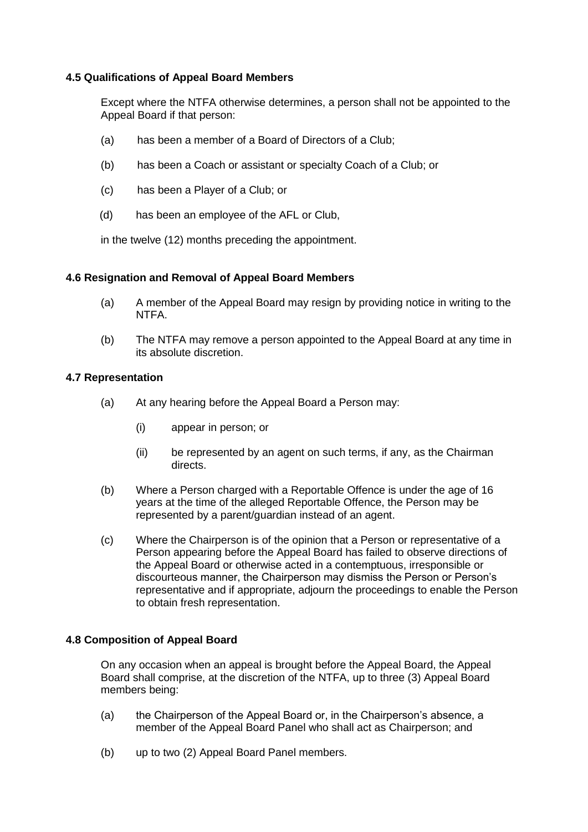## **4.5 Qualifications of Appeal Board Members**

Except where the NTFA otherwise determines, a person shall not be appointed to the Appeal Board if that person:

- (a) has been a member of a Board of Directors of a Club;
- (b) has been a Coach or assistant or specialty Coach of a Club; or
- (c) has been a Player of a Club; or
- (d) has been an employee of the AFL or Club,

in the twelve (12) months preceding the appointment.

## **4.6 Resignation and Removal of Appeal Board Members**

- (a) A member of the Appeal Board may resign by providing notice in writing to the NTFA.
- (b) The NTFA may remove a person appointed to the Appeal Board at any time in its absolute discretion.

## **4.7 Representation**

- (a) At any hearing before the Appeal Board a Person may:
	- (i) appear in person; or
	- (ii) be represented by an agent on such terms, if any, as the Chairman directs.
- (b) Where a Person charged with a Reportable Offence is under the age of 16 years at the time of the alleged Reportable Offence, the Person may be represented by a parent/guardian instead of an agent.
- (c) Where the Chairperson is of the opinion that a Person or representative of a Person appearing before the Appeal Board has failed to observe directions of the Appeal Board or otherwise acted in a contemptuous, irresponsible or discourteous manner, the Chairperson may dismiss the Person or Person's representative and if appropriate, adjourn the proceedings to enable the Person to obtain fresh representation.

## **4.8 Composition of Appeal Board**

On any occasion when an appeal is brought before the Appeal Board, the Appeal Board shall comprise, at the discretion of the NTFA, up to three (3) Appeal Board members being:

- (a) the Chairperson of the Appeal Board or, in the Chairperson's absence, a member of the Appeal Board Panel who shall act as Chairperson; and
- (b) up to two (2) Appeal Board Panel members.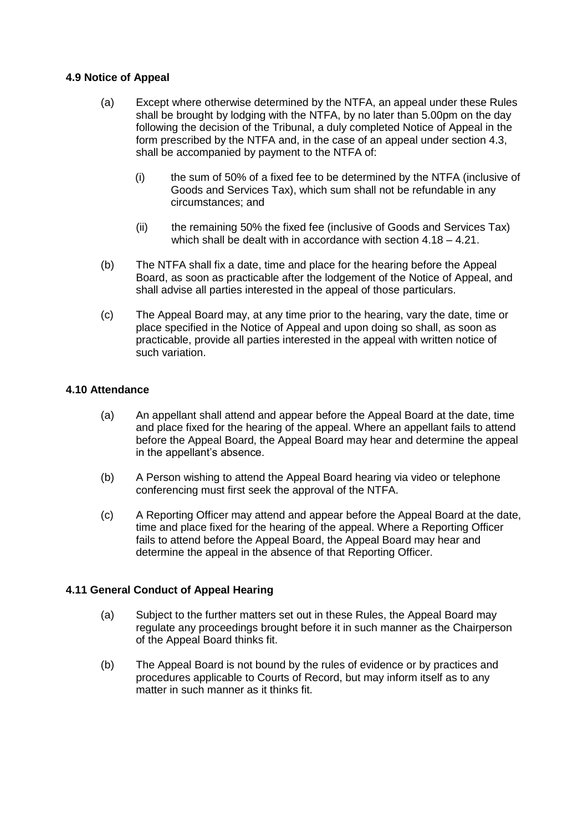## **4.9 Notice of Appeal**

- (a) Except where otherwise determined by the NTFA, an appeal under these Rules shall be brought by lodging with the NTFA, by no later than 5.00pm on the day following the decision of the Tribunal, a duly completed Notice of Appeal in the form prescribed by the NTFA and, in the case of an appeal under section 4.3, shall be accompanied by payment to the NTFA of:
	- (i) the sum of 50% of a fixed fee to be determined by the NTFA (inclusive of Goods and Services Tax), which sum shall not be refundable in any circumstances; and
	- (ii) the remaining 50% the fixed fee (inclusive of Goods and Services Tax) which shall be dealt with in accordance with section 4.18 – 4.21.
- (b) The NTFA shall fix a date, time and place for the hearing before the Appeal Board, as soon as practicable after the lodgement of the Notice of Appeal, and shall advise all parties interested in the appeal of those particulars.
- (c) The Appeal Board may, at any time prior to the hearing, vary the date, time or place specified in the Notice of Appeal and upon doing so shall, as soon as practicable, provide all parties interested in the appeal with written notice of such variation.

# **4.10 Attendance**

- (a) An appellant shall attend and appear before the Appeal Board at the date, time and place fixed for the hearing of the appeal. Where an appellant fails to attend before the Appeal Board, the Appeal Board may hear and determine the appeal in the appellant's absence.
- (b) A Person wishing to attend the Appeal Board hearing via video or telephone conferencing must first seek the approval of the NTFA.
- (c) A Reporting Officer may attend and appear before the Appeal Board at the date, time and place fixed for the hearing of the appeal. Where a Reporting Officer fails to attend before the Appeal Board, the Appeal Board may hear and determine the appeal in the absence of that Reporting Officer.

## **4.11 General Conduct of Appeal Hearing**

- (a) Subject to the further matters set out in these Rules, the Appeal Board may regulate any proceedings brought before it in such manner as the Chairperson of the Appeal Board thinks fit.
- (b) The Appeal Board is not bound by the rules of evidence or by practices and procedures applicable to Courts of Record, but may inform itself as to any matter in such manner as it thinks fit.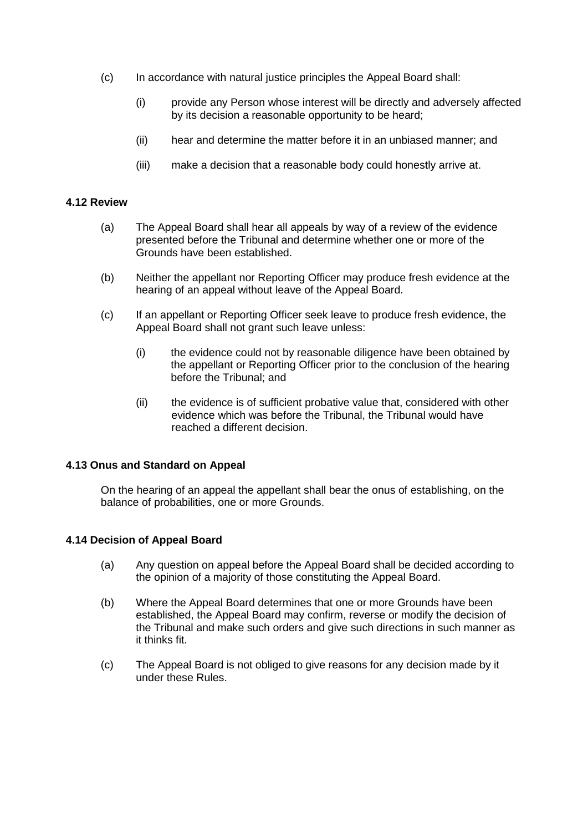- (c) In accordance with natural justice principles the Appeal Board shall:
	- (i) provide any Person whose interest will be directly and adversely affected by its decision a reasonable opportunity to be heard;
	- (ii) hear and determine the matter before it in an unbiased manner; and
	- (iii) make a decision that a reasonable body could honestly arrive at.

#### **4.12 Review**

- (a) The Appeal Board shall hear all appeals by way of a review of the evidence presented before the Tribunal and determine whether one or more of the Grounds have been established.
- (b) Neither the appellant nor Reporting Officer may produce fresh evidence at the hearing of an appeal without leave of the Appeal Board.
- (c) If an appellant or Reporting Officer seek leave to produce fresh evidence, the Appeal Board shall not grant such leave unless:
	- (i) the evidence could not by reasonable diligence have been obtained by the appellant or Reporting Officer prior to the conclusion of the hearing before the Tribunal; and
	- (ii) the evidence is of sufficient probative value that, considered with other evidence which was before the Tribunal, the Tribunal would have reached a different decision.

#### **4.13 Onus and Standard on Appeal**

On the hearing of an appeal the appellant shall bear the onus of establishing, on the balance of probabilities, one or more Grounds.

#### **4.14 Decision of Appeal Board**

- (a) Any question on appeal before the Appeal Board shall be decided according to the opinion of a majority of those constituting the Appeal Board.
- (b) Where the Appeal Board determines that one or more Grounds have been established, the Appeal Board may confirm, reverse or modify the decision of the Tribunal and make such orders and give such directions in such manner as it thinks fit.
- (c) The Appeal Board is not obliged to give reasons for any decision made by it under these Rules.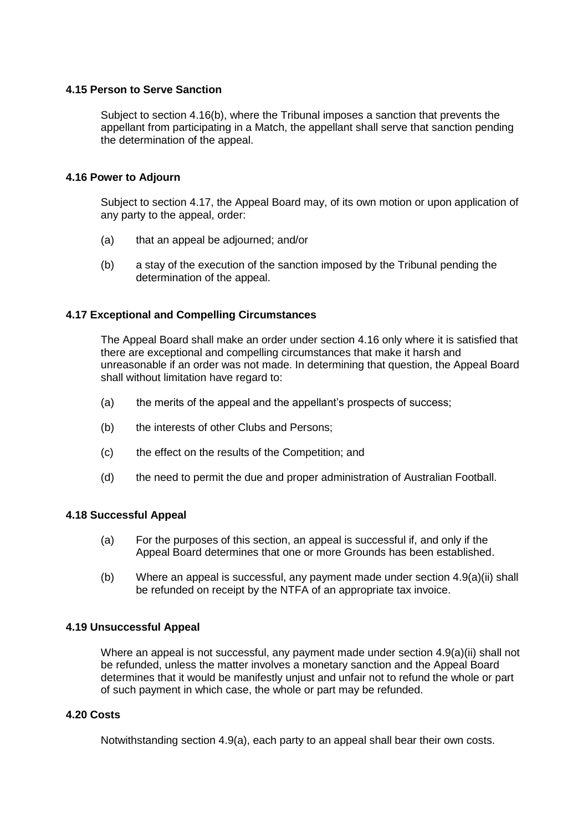## **4.15 Person to Serve Sanction**

Subject to section 4.16(b), where the Tribunal imposes a sanction that prevents the appellant from participating in a Match, the appellant shall serve that sanction pending the determination of the appeal.

## **4.16 Power to Adjourn**

Subject to section 4.17, the Appeal Board may, of its own motion or upon application of any party to the appeal, order:

- (a) that an appeal be adjourned; and/or
- (b) a stay of the execution of the sanction imposed by the Tribunal pending the determination of the appeal.

## **4.17 Exceptional and Compelling Circumstances**

The Appeal Board shall make an order under section 4.16 only where it is satisfied that there are exceptional and compelling circumstances that make it harsh and unreasonable if an order was not made. In determining that question, the Appeal Board shall without limitation have regard to:

- (a) the merits of the appeal and the appellant's prospects of success;
- (b) the interests of other Clubs and Persons;
- (c) the effect on the results of the Competition; and
- (d) the need to permit the due and proper administration of Australian Football.

### **4.18 Successful Appeal**

- (a) For the purposes of this section, an appeal is successful if, and only if the Appeal Board determines that one or more Grounds has been established.
- (b) Where an appeal is successful, any payment made under section 4.9(a)(ii) shall be refunded on receipt by the NTFA of an appropriate tax invoice.

#### **4.19 Unsuccessful Appeal**

Where an appeal is not successful, any payment made under section 4.9(a)(ii) shall not be refunded, unless the matter involves a monetary sanction and the Appeal Board determines that it would be manifestly unjust and unfair not to refund the whole or part of such payment in which case, the whole or part may be refunded.

## **4.20 Costs**

Notwithstanding section 4.9(a), each party to an appeal shall bear their own costs.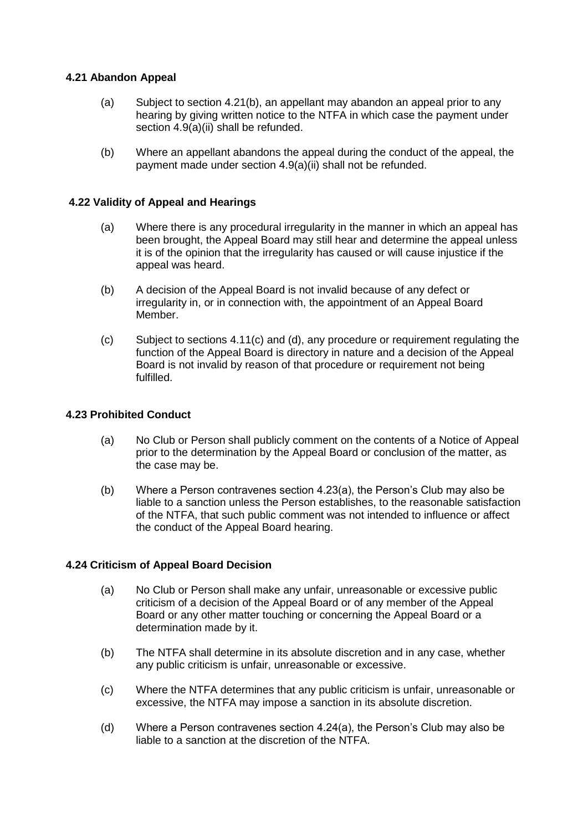## **4.21 Abandon Appeal**

- (a) Subject to section 4.21(b), an appellant may abandon an appeal prior to any hearing by giving written notice to the NTFA in which case the payment under section 4.9(a)(ii) shall be refunded.
- (b) Where an appellant abandons the appeal during the conduct of the appeal, the payment made under section 4.9(a)(ii) shall not be refunded.

#### **4.22 Validity of Appeal and Hearings**

- (a) Where there is any procedural irregularity in the manner in which an appeal has been brought, the Appeal Board may still hear and determine the appeal unless it is of the opinion that the irregularity has caused or will cause injustice if the appeal was heard.
- (b) A decision of the Appeal Board is not invalid because of any defect or irregularity in, or in connection with, the appointment of an Appeal Board Member.
- (c) Subject to sections 4.11(c) and (d), any procedure or requirement regulating the function of the Appeal Board is directory in nature and a decision of the Appeal Board is not invalid by reason of that procedure or requirement not being fulfilled.

#### **4.23 Prohibited Conduct**

- (a) No Club or Person shall publicly comment on the contents of a Notice of Appeal prior to the determination by the Appeal Board or conclusion of the matter, as the case may be.
- (b) Where a Person contravenes section 4.23(a), the Person's Club may also be liable to a sanction unless the Person establishes, to the reasonable satisfaction of the NTFA, that such public comment was not intended to influence or affect the conduct of the Appeal Board hearing.

#### **4.24 Criticism of Appeal Board Decision**

- (a) No Club or Person shall make any unfair, unreasonable or excessive public criticism of a decision of the Appeal Board or of any member of the Appeal Board or any other matter touching or concerning the Appeal Board or a determination made by it.
- (b) The NTFA shall determine in its absolute discretion and in any case, whether any public criticism is unfair, unreasonable or excessive.
- (c) Where the NTFA determines that any public criticism is unfair, unreasonable or excessive, the NTFA may impose a sanction in its absolute discretion.
- (d) Where a Person contravenes section 4.24(a), the Person's Club may also be liable to a sanction at the discretion of the NTFA.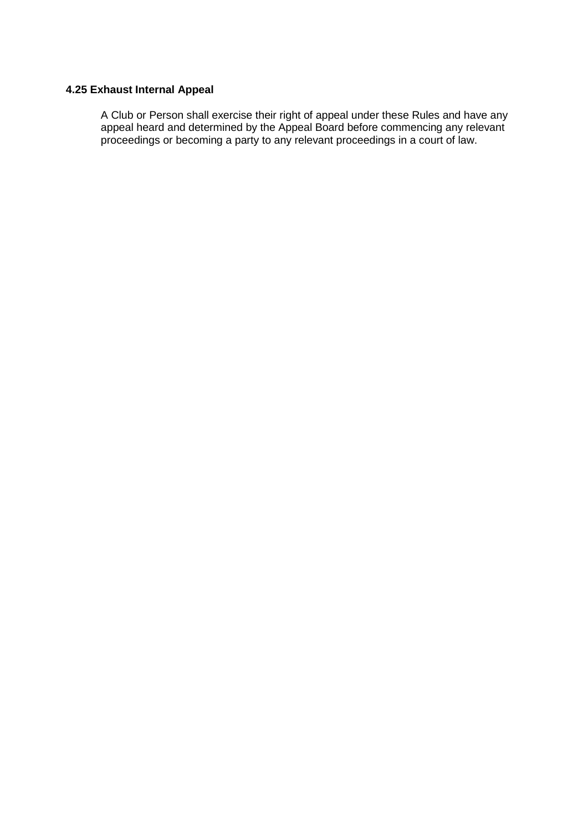# **4.25 Exhaust Internal Appeal**

A Club or Person shall exercise their right of appeal under these Rules and have any appeal heard and determined by the Appeal Board before commencing any relevant proceedings or becoming a party to any relevant proceedings in a court of law.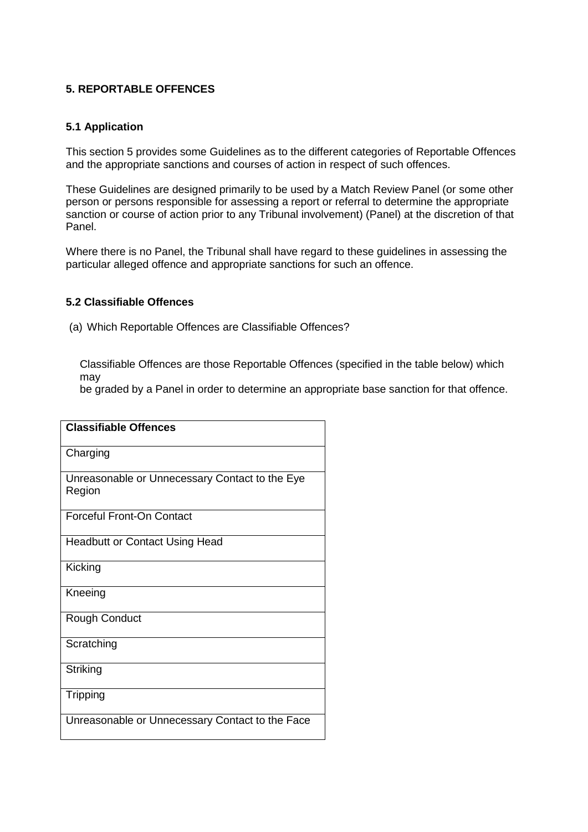## **5. REPORTABLE OFFENCES**

## **5.1 Application**

This section 5 provides some Guidelines as to the different categories of Reportable Offences and the appropriate sanctions and courses of action in respect of such offences.

These Guidelines are designed primarily to be used by a Match Review Panel (or some other person or persons responsible for assessing a report or referral to determine the appropriate sanction or course of action prior to any Tribunal involvement) (Panel) at the discretion of that Panel.

Where there is no Panel, the Tribunal shall have regard to these guidelines in assessing the particular alleged offence and appropriate sanctions for such an offence.

## **5.2 Classifiable Offences**

(a) Which Reportable Offences are Classifiable Offences?

Classifiable Offences are those Reportable Offences (specified in the table below) which may

be graded by a Panel in order to determine an appropriate base sanction for that offence.

| <b>Classifiable Offences</b>                             |
|----------------------------------------------------------|
| Charging                                                 |
| Unreasonable or Unnecessary Contact to the Eye<br>Region |
| <b>Forceful Front-On Contact</b>                         |
| <b>Headbutt or Contact Using Head</b>                    |
| Kicking                                                  |
| Kneeing                                                  |
| Rough Conduct                                            |
| Scratching                                               |
| Striking                                                 |
| Tripping                                                 |
| Unreasonable or Unnecessary Contact to the Face          |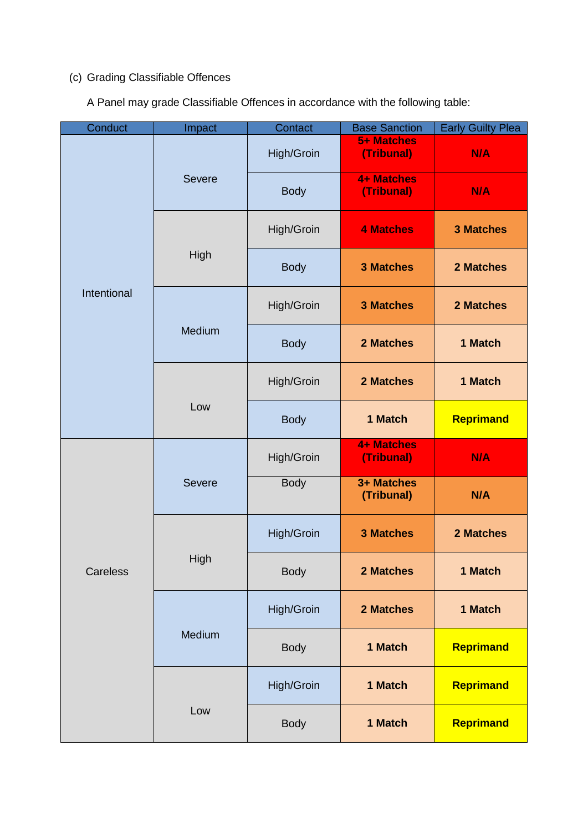# (c) Grading Classifiable Offences

A Panel may grade Classifiable Offences in accordance with the following table:

| Conduct     | Impact        | Contact     | <b>Base Sanction</b>            | <b>Early Guilty Plea</b> |
|-------------|---------------|-------------|---------------------------------|--------------------------|
| Intentional | <b>Severe</b> | High/Groin  | 5+ Matches<br>(Tribunal)        | N/A                      |
|             |               | <b>Body</b> | <b>4+ Matches</b><br>(Tribunal) | N/A                      |
|             | High          | High/Groin  | <b>4 Matches</b>                | <b>3 Matches</b>         |
|             |               | <b>Body</b> | <b>3 Matches</b>                | 2 Matches                |
|             | Medium        | High/Groin  | <b>3 Matches</b>                | 2 Matches                |
|             |               | <b>Body</b> | 2 Matches                       | 1 Match                  |
|             | Low           | High/Groin  | 2 Matches                       | 1 Match                  |
|             |               | <b>Body</b> | 1 Match                         | Reprimand                |
| Careless    | <b>Severe</b> | High/Groin  | <b>4+ Matches</b><br>(Tribunal) | N/A                      |
|             |               | <b>Body</b> | 3+ Matches<br>(Tribunal)        | N/A                      |
|             | High          | High/Groin  | <b>3 Matches</b>                | 2 Matches                |
|             |               | <b>Body</b> | 2 Matches                       | 1 Match                  |
|             | Medium        | High/Groin  | 2 Matches                       | 1 Match                  |
|             |               | <b>Body</b> | 1 Match                         | Reprimand                |
|             | Low           | High/Groin  | 1 Match                         | Reprimand                |
|             |               | <b>Body</b> | 1 Match                         | Reprimand                |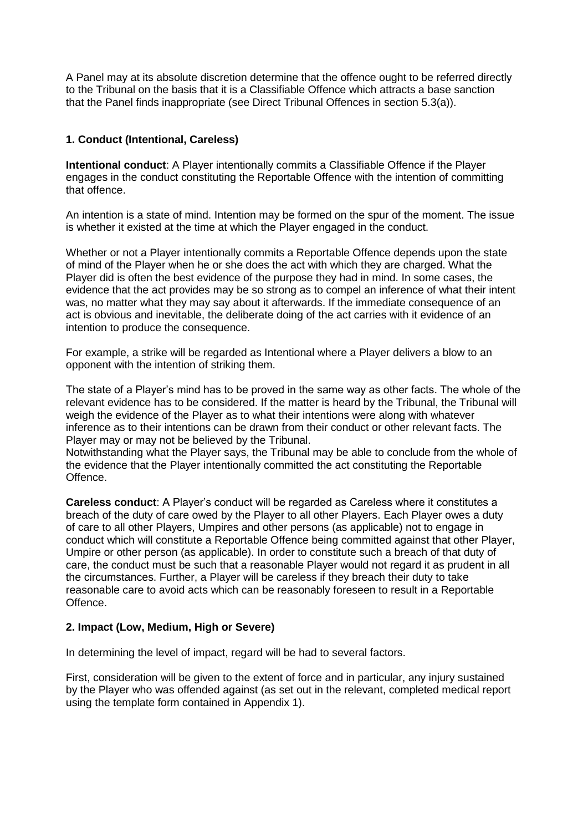A Panel may at its absolute discretion determine that the offence ought to be referred directly to the Tribunal on the basis that it is a Classifiable Offence which attracts a base sanction that the Panel finds inappropriate (see Direct Tribunal Offences in section 5.3(a)).

## **1. Conduct (Intentional, Careless)**

**Intentional conduct**: A Player intentionally commits a Classifiable Offence if the Player engages in the conduct constituting the Reportable Offence with the intention of committing that offence.

An intention is a state of mind. Intention may be formed on the spur of the moment. The issue is whether it existed at the time at which the Player engaged in the conduct.

Whether or not a Player intentionally commits a Reportable Offence depends upon the state of mind of the Player when he or she does the act with which they are charged. What the Player did is often the best evidence of the purpose they had in mind. In some cases, the evidence that the act provides may be so strong as to compel an inference of what their intent was, no matter what they may say about it afterwards. If the immediate consequence of an act is obvious and inevitable, the deliberate doing of the act carries with it evidence of an intention to produce the consequence.

For example, a strike will be regarded as Intentional where a Player delivers a blow to an opponent with the intention of striking them.

The state of a Player's mind has to be proved in the same way as other facts. The whole of the relevant evidence has to be considered. If the matter is heard by the Tribunal, the Tribunal will weigh the evidence of the Player as to what their intentions were along with whatever inference as to their intentions can be drawn from their conduct or other relevant facts. The Player may or may not be believed by the Tribunal.

Notwithstanding what the Player says, the Tribunal may be able to conclude from the whole of the evidence that the Player intentionally committed the act constituting the Reportable Offence.

**Careless conduct**: A Player's conduct will be regarded as Careless where it constitutes a breach of the duty of care owed by the Player to all other Players. Each Player owes a duty of care to all other Players, Umpires and other persons (as applicable) not to engage in conduct which will constitute a Reportable Offence being committed against that other Player, Umpire or other person (as applicable). In order to constitute such a breach of that duty of care, the conduct must be such that a reasonable Player would not regard it as prudent in all the circumstances. Further, a Player will be careless if they breach their duty to take reasonable care to avoid acts which can be reasonably foreseen to result in a Reportable **Offence** 

## **2. Impact (Low, Medium, High or Severe)**

In determining the level of impact, regard will be had to several factors.

First, consideration will be given to the extent of force and in particular, any injury sustained by the Player who was offended against (as set out in the relevant, completed medical report using the template form contained in Appendix 1).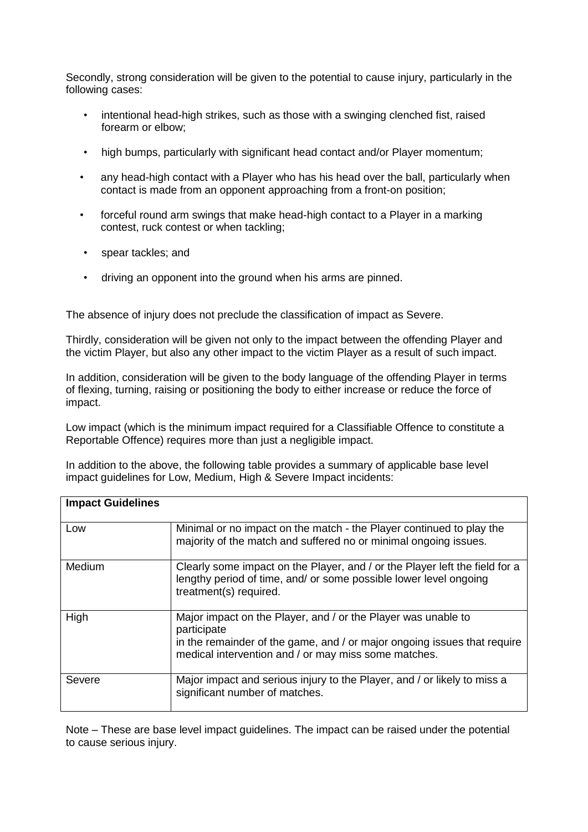Secondly, strong consideration will be given to the potential to cause injury, particularly in the following cases:

- intentional head-high strikes, such as those with a swinging clenched fist, raised forearm or elbow;
- high bumps, particularly with significant head contact and/or Player momentum;
- any head-high contact with a Player who has his head over the ball, particularly when contact is made from an opponent approaching from a front-on position;
- forceful round arm swings that make head-high contact to a Player in a marking contest, ruck contest or when tackling;
- spear tackles; and
- driving an opponent into the ground when his arms are pinned.

The absence of injury does not preclude the classification of impact as Severe.

Thirdly, consideration will be given not only to the impact between the offending Player and the victim Player, but also any other impact to the victim Player as a result of such impact.

In addition, consideration will be given to the body language of the offending Player in terms of flexing, turning, raising or positioning the body to either increase or reduce the force of impact.

Low impact (which is the minimum impact required for a Classifiable Offence to constitute a Reportable Offence) requires more than just a negligible impact.

In addition to the above, the following table provides a summary of applicable base level impact guidelines for Low, Medium, High & Severe Impact incidents:

| <b>Impact Guidelines</b> |                                                                                                                                                                                                                  |
|--------------------------|------------------------------------------------------------------------------------------------------------------------------------------------------------------------------------------------------------------|
| Low                      | Minimal or no impact on the match - the Player continued to play the<br>majority of the match and suffered no or minimal ongoing issues.                                                                         |
| Medium                   | Clearly some impact on the Player, and / or the Player left the field for a<br>lengthy period of time, and/ or some possible lower level ongoing<br>treatment(s) required.                                       |
| High                     | Major impact on the Player, and / or the Player was unable to<br>participate<br>in the remainder of the game, and / or major ongoing issues that require<br>medical intervention and / or may miss some matches. |
| Severe                   | Major impact and serious injury to the Player, and / or likely to miss a<br>significant number of matches.                                                                                                       |

Note – These are base level impact quidelines. The impact can be raised under the potential to cause serious injury.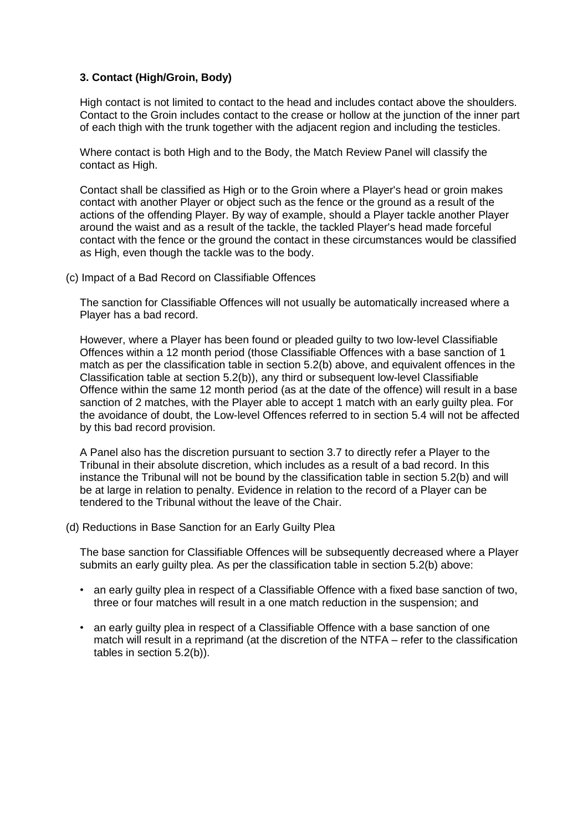## **3. Contact (High/Groin, Body)**

High contact is not limited to contact to the head and includes contact above the shoulders. Contact to the Groin includes contact to the crease or hollow at the junction of the inner part of each thigh with the trunk together with the adjacent region and including the testicles.

Where contact is both High and to the Body, the Match Review Panel will classify the contact as High.

Contact shall be classified as High or to the Groin where a Player's head or groin makes contact with another Player or object such as the fence or the ground as a result of the actions of the offending Player. By way of example, should a Player tackle another Player around the waist and as a result of the tackle, the tackled Player's head made forceful contact with the fence or the ground the contact in these circumstances would be classified as High, even though the tackle was to the body.

(c) Impact of a Bad Record on Classifiable Offences

The sanction for Classifiable Offences will not usually be automatically increased where a Player has a bad record.

However, where a Player has been found or pleaded guilty to two low-level Classifiable Offences within a 12 month period (those Classifiable Offences with a base sanction of 1 match as per the classification table in section 5.2(b) above, and equivalent offences in the Classification table at section 5.2(b)), any third or subsequent low-level Classifiable Offence within the same 12 month period (as at the date of the offence) will result in a base sanction of 2 matches, with the Player able to accept 1 match with an early guilty plea. For the avoidance of doubt, the Low-level Offences referred to in section 5.4 will not be affected by this bad record provision.

A Panel also has the discretion pursuant to section 3.7 to directly refer a Player to the Tribunal in their absolute discretion, which includes as a result of a bad record. In this instance the Tribunal will not be bound by the classification table in section 5.2(b) and will be at large in relation to penalty. Evidence in relation to the record of a Player can be tendered to the Tribunal without the leave of the Chair.

(d) Reductions in Base Sanction for an Early Guilty Plea

The base sanction for Classifiable Offences will be subsequently decreased where a Player submits an early guilty plea. As per the classification table in section 5.2(b) above:

- an early guilty plea in respect of a Classifiable Offence with a fixed base sanction of two, three or four matches will result in a one match reduction in the suspension; and
- an early guilty plea in respect of a Classifiable Offence with a base sanction of one match will result in a reprimand (at the discretion of the NTFA – refer to the classification tables in section 5.2(b)).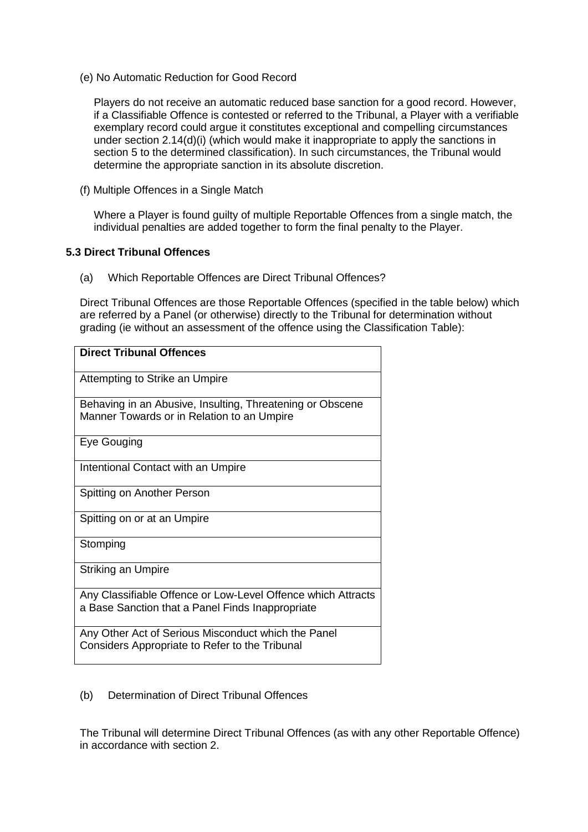(e) No Automatic Reduction for Good Record

Players do not receive an automatic reduced base sanction for a good record. However, if a Classifiable Offence is contested or referred to the Tribunal, a Player with a verifiable exemplary record could argue it constitutes exceptional and compelling circumstances under section 2.14(d)(i) (which would make it inappropriate to apply the sanctions in section 5 to the determined classification). In such circumstances, the Tribunal would determine the appropriate sanction in its absolute discretion.

(f) Multiple Offences in a Single Match

Where a Player is found guilty of multiple Reportable Offences from a single match, the individual penalties are added together to form the final penalty to the Player.

## **5.3 Direct Tribunal Offences**

(a) Which Reportable Offences are Direct Tribunal Offences?

Direct Tribunal Offences are those Reportable Offences (specified in the table below) which are referred by a Panel (or otherwise) directly to the Tribunal for determination without grading (ie without an assessment of the offence using the Classification Table):

| <b>Direct Tribunal Offences</b>                                                                                  |
|------------------------------------------------------------------------------------------------------------------|
| Attempting to Strike an Umpire                                                                                   |
| Behaving in an Abusive, Insulting, Threatening or Obscene<br>Manner Towards or in Relation to an Umpire          |
| Eye Gouging                                                                                                      |
| Intentional Contact with an Umpire                                                                               |
| Spitting on Another Person                                                                                       |
| Spitting on or at an Umpire                                                                                      |
| Stomping                                                                                                         |
| <b>Striking an Umpire</b>                                                                                        |
| Any Classifiable Offence or Low-Level Offence which Attracts<br>a Base Sanction that a Panel Finds Inappropriate |
| Any Other Act of Serious Misconduct which the Panel<br>Considers Appropriate to Refer to the Tribunal            |

## (b) Determination of Direct Tribunal Offences

The Tribunal will determine Direct Tribunal Offences (as with any other Reportable Offence) in accordance with section 2.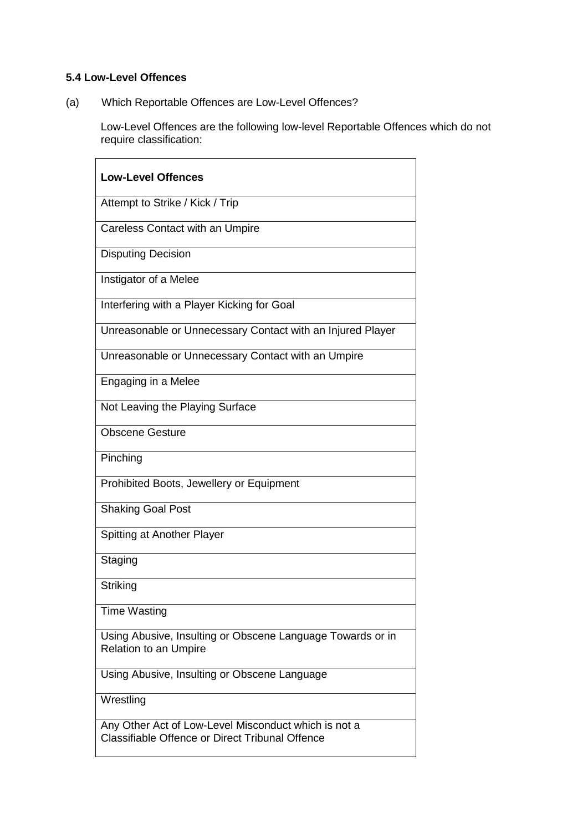# **5.4 Low-Level Offences**

(a) Which Reportable Offences are Low-Level Offences?

Low-Level Offences are the following low-level Reportable Offences which do not require classification:

| <b>Low-Level Offences</b>                                                                               |
|---------------------------------------------------------------------------------------------------------|
| Attempt to Strike / Kick / Trip                                                                         |
| <b>Careless Contact with an Umpire</b>                                                                  |
| <b>Disputing Decision</b>                                                                               |
| Instigator of a Melee                                                                                   |
| Interfering with a Player Kicking for Goal                                                              |
| Unreasonable or Unnecessary Contact with an Injured Player                                              |
| Unreasonable or Unnecessary Contact with an Umpire                                                      |
| Engaging in a Melee                                                                                     |
| Not Leaving the Playing Surface                                                                         |
| <b>Obscene Gesture</b>                                                                                  |
| Pinching                                                                                                |
| Prohibited Boots, Jewellery or Equipment                                                                |
| <b>Shaking Goal Post</b>                                                                                |
| Spitting at Another Player                                                                              |
| Staging                                                                                                 |
| Striking                                                                                                |
| Time Wasting                                                                                            |
| Using Abusive, Insulting or Obscene Language Towards or in<br><b>Relation to an Umpire</b>              |
| Using Abusive, Insulting or Obscene Language                                                            |
| Wrestling                                                                                               |
| Any Other Act of Low-Level Misconduct which is not a<br>Classifiable Offence or Direct Tribunal Offence |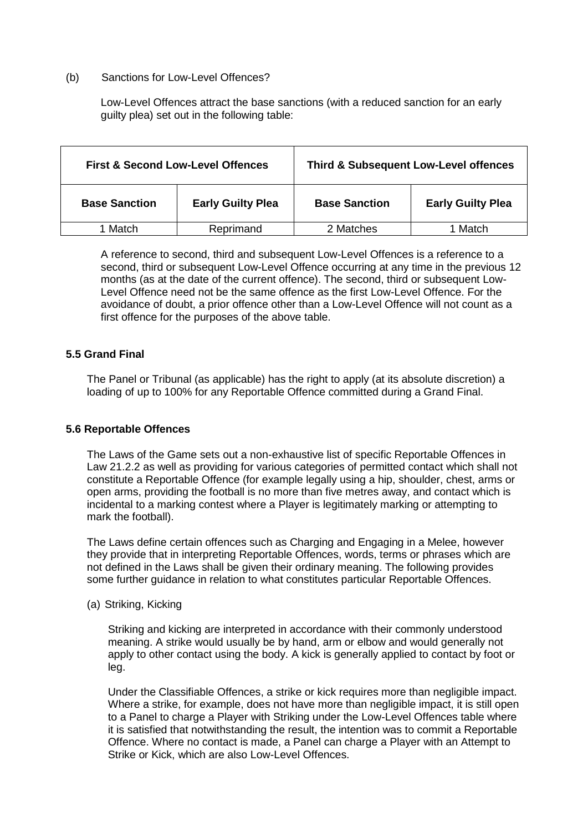#### (b) Sanctions for Low-Level Offences?

Low-Level Offences attract the base sanctions (with a reduced sanction for an early guilty plea) set out in the following table:

| <b>First &amp; Second Low-Level Offences</b> |                          | <b>Third &amp; Subsequent Low-Level offences</b> |                          |
|----------------------------------------------|--------------------------|--------------------------------------------------|--------------------------|
| <b>Base Sanction</b>                         | <b>Early Guilty Plea</b> | <b>Base Sanction</b>                             | <b>Early Guilty Plea</b> |
| 1 Match.                                     | Reprimand                | 2 Matches                                        | Match                    |

A reference to second, third and subsequent Low-Level Offences is a reference to a second, third or subsequent Low-Level Offence occurring at any time in the previous 12 months (as at the date of the current offence). The second, third or subsequent Low-Level Offence need not be the same offence as the first Low-Level Offence. For the avoidance of doubt, a prior offence other than a Low-Level Offence will not count as a first offence for the purposes of the above table.

## **5.5 Grand Final**

The Panel or Tribunal (as applicable) has the right to apply (at its absolute discretion) a loading of up to 100% for any Reportable Offence committed during a Grand Final.

## **5.6 Reportable Offences**

The Laws of the Game sets out a non-exhaustive list of specific Reportable Offences in Law 21.2.2 as well as providing for various categories of permitted contact which shall not constitute a Reportable Offence (for example legally using a hip, shoulder, chest, arms or open arms, providing the football is no more than five metres away, and contact which is incidental to a marking contest where a Player is legitimately marking or attempting to mark the football).

The Laws define certain offences such as Charging and Engaging in a Melee, however they provide that in interpreting Reportable Offences, words, terms or phrases which are not defined in the Laws shall be given their ordinary meaning. The following provides some further guidance in relation to what constitutes particular Reportable Offences.

(a) Striking, Kicking

Striking and kicking are interpreted in accordance with their commonly understood meaning. A strike would usually be by hand, arm or elbow and would generally not apply to other contact using the body. A kick is generally applied to contact by foot or leg.

Under the Classifiable Offences, a strike or kick requires more than negligible impact. Where a strike, for example, does not have more than negligible impact, it is still open to a Panel to charge a Player with Striking under the Low-Level Offences table where it is satisfied that notwithstanding the result, the intention was to commit a Reportable Offence. Where no contact is made, a Panel can charge a Player with an Attempt to Strike or Kick, which are also Low-Level Offences.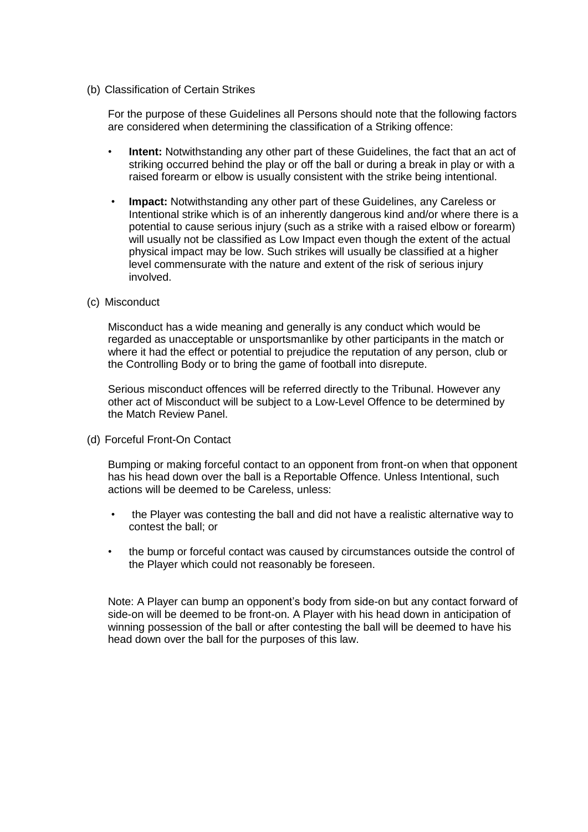#### (b) Classification of Certain Strikes

For the purpose of these Guidelines all Persons should note that the following factors are considered when determining the classification of a Striking offence:

- **Intent:** Notwithstanding any other part of these Guidelines, the fact that an act of striking occurred behind the play or off the ball or during a break in play or with a raised forearm or elbow is usually consistent with the strike being intentional.
- **Impact:** Notwithstanding any other part of these Guidelines, any Careless or Intentional strike which is of an inherently dangerous kind and/or where there is a potential to cause serious injury (such as a strike with a raised elbow or forearm) will usually not be classified as Low Impact even though the extent of the actual physical impact may be low. Such strikes will usually be classified at a higher level commensurate with the nature and extent of the risk of serious injury involved.
- (c) Misconduct

Misconduct has a wide meaning and generally is any conduct which would be regarded as unacceptable or unsportsmanlike by other participants in the match or where it had the effect or potential to prejudice the reputation of any person, club or the Controlling Body or to bring the game of football into disrepute.

Serious misconduct offences will be referred directly to the Tribunal. However any other act of Misconduct will be subject to a Low-Level Offence to be determined by the Match Review Panel.

(d) Forceful Front-On Contact

Bumping or making forceful contact to an opponent from front-on when that opponent has his head down over the ball is a Reportable Offence. Unless Intentional, such actions will be deemed to be Careless, unless:

- the Player was contesting the ball and did not have a realistic alternative way to contest the ball; or
- the bump or forceful contact was caused by circumstances outside the control of the Player which could not reasonably be foreseen.

Note: A Player can bump an opponent's body from side-on but any contact forward of side-on will be deemed to be front-on. A Player with his head down in anticipation of winning possession of the ball or after contesting the ball will be deemed to have his head down over the ball for the purposes of this law.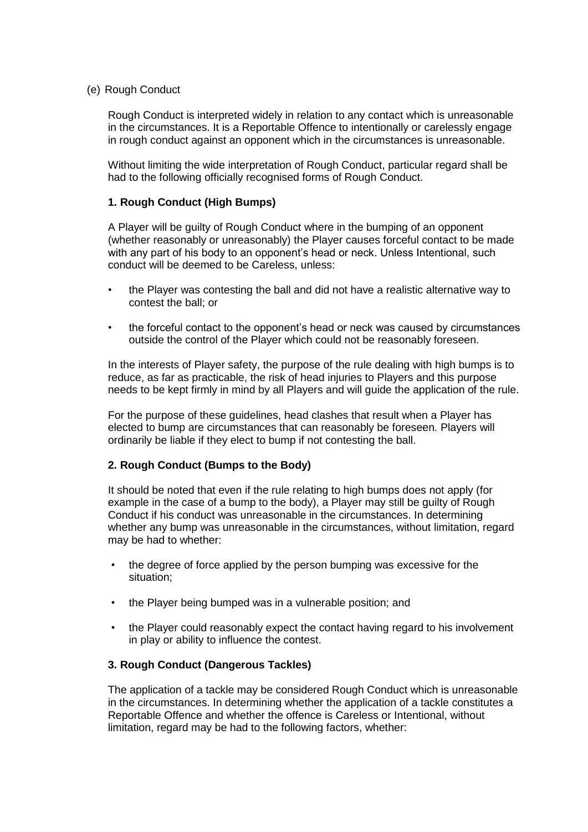## (e) Rough Conduct

Rough Conduct is interpreted widely in relation to any contact which is unreasonable in the circumstances. It is a Reportable Offence to intentionally or carelessly engage in rough conduct against an opponent which in the circumstances is unreasonable.

Without limiting the wide interpretation of Rough Conduct, particular regard shall be had to the following officially recognised forms of Rough Conduct.

## **1. Rough Conduct (High Bumps)**

A Player will be guilty of Rough Conduct where in the bumping of an opponent (whether reasonably or unreasonably) the Player causes forceful contact to be made with any part of his body to an opponent's head or neck. Unless Intentional, such conduct will be deemed to be Careless, unless:

- the Player was contesting the ball and did not have a realistic alternative way to contest the ball; or
- the forceful contact to the opponent's head or neck was caused by circumstances outside the control of the Player which could not be reasonably foreseen.

In the interests of Player safety, the purpose of the rule dealing with high bumps is to reduce, as far as practicable, the risk of head injuries to Players and this purpose needs to be kept firmly in mind by all Players and will guide the application of the rule.

For the purpose of these guidelines, head clashes that result when a Player has elected to bump are circumstances that can reasonably be foreseen. Players will ordinarily be liable if they elect to bump if not contesting the ball.

## **2. Rough Conduct (Bumps to the Body)**

It should be noted that even if the rule relating to high bumps does not apply (for example in the case of a bump to the body), a Player may still be guilty of Rough Conduct if his conduct was unreasonable in the circumstances. In determining whether any bump was unreasonable in the circumstances, without limitation, regard may be had to whether:

- the degree of force applied by the person bumping was excessive for the situation;
- the Player being bumped was in a vulnerable position; and
- the Player could reasonably expect the contact having regard to his involvement in play or ability to influence the contest.

#### **3. Rough Conduct (Dangerous Tackles)**

The application of a tackle may be considered Rough Conduct which is unreasonable in the circumstances. In determining whether the application of a tackle constitutes a Reportable Offence and whether the offence is Careless or Intentional, without limitation, regard may be had to the following factors, whether: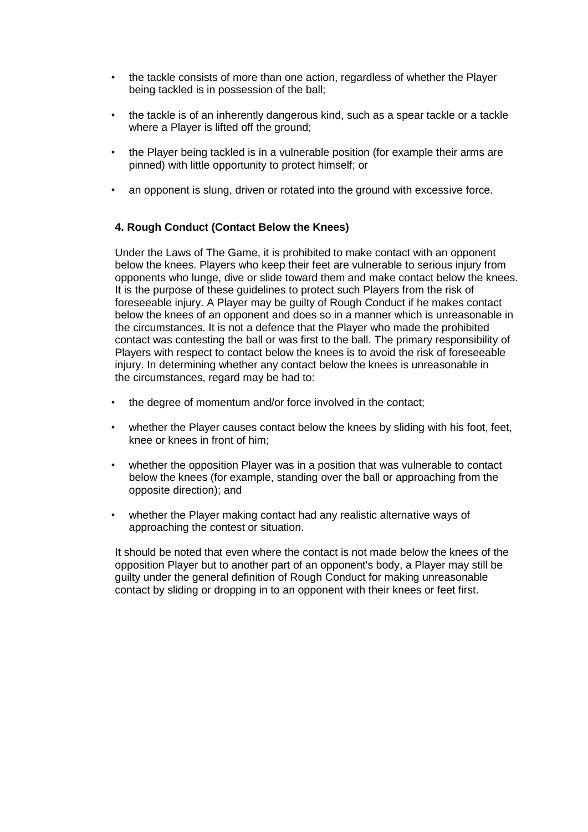- the tackle consists of more than one action, regardless of whether the Player being tackled is in possession of the ball;
- the tackle is of an inherently dangerous kind, such as a spear tackle or a tackle where a Player is lifted off the ground;
- the Player being tackled is in a vulnerable position (for example their arms are pinned) with little opportunity to protect himself; or
- an opponent is slung, driven or rotated into the ground with excessive force.

## **4. Rough Conduct (Contact Below the Knees)**

Under the Laws of The Game, it is prohibited to make contact with an opponent below the knees. Players who keep their feet are vulnerable to serious injury from opponents who lunge, dive or slide toward them and make contact below the knees. It is the purpose of these guidelines to protect such Players from the risk of foreseeable injury. A Player may be guilty of Rough Conduct if he makes contact below the knees of an opponent and does so in a manner which is unreasonable in the circumstances. It is not a defence that the Player who made the prohibited contact was contesting the ball or was first to the ball. The primary responsibility of Players with respect to contact below the knees is to avoid the risk of foreseeable injury. In determining whether any contact below the knees is unreasonable in the circumstances, regard may be had to:

- the degree of momentum and/or force involved in the contact;
- whether the Player causes contact below the knees by sliding with his foot, feet, knee or knees in front of him;
- whether the opposition Player was in a position that was vulnerable to contact below the knees (for example, standing over the ball or approaching from the opposite direction); and
- whether the Player making contact had any realistic alternative ways of approaching the contest or situation.

It should be noted that even where the contact is not made below the knees of the opposition Player but to another part of an opponent's body, a Player may still be guilty under the general definition of Rough Conduct for making unreasonable contact by sliding or dropping in to an opponent with their knees or feet first.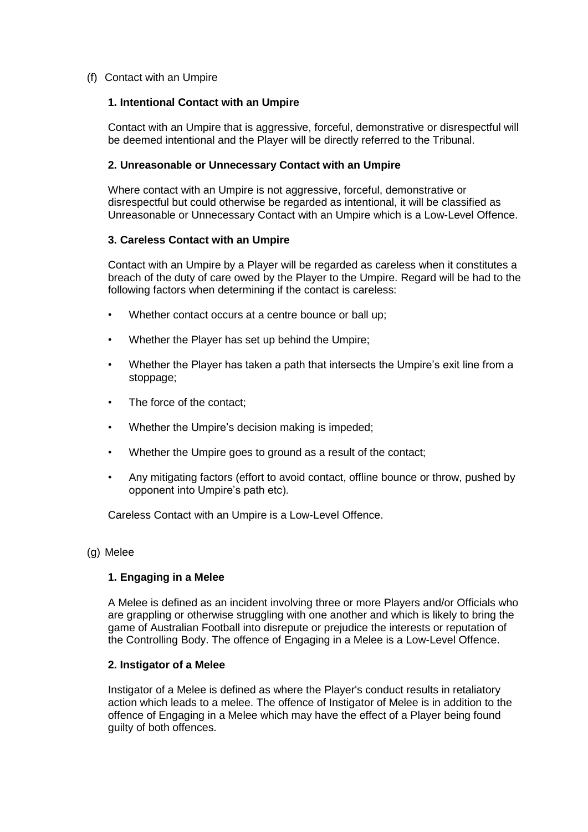## (f) Contact with an Umpire

## **1. Intentional Contact with an Umpire**

Contact with an Umpire that is aggressive, forceful, demonstrative or disrespectful will be deemed intentional and the Player will be directly referred to the Tribunal.

## **2. Unreasonable or Unnecessary Contact with an Umpire**

Where contact with an Umpire is not aggressive, forceful, demonstrative or disrespectful but could otherwise be regarded as intentional, it will be classified as Unreasonable or Unnecessary Contact with an Umpire which is a Low-Level Offence.

## **3. Careless Contact with an Umpire**

Contact with an Umpire by a Player will be regarded as careless when it constitutes a breach of the duty of care owed by the Player to the Umpire. Regard will be had to the following factors when determining if the contact is careless:

- Whether contact occurs at a centre bounce or ball up:
- Whether the Player has set up behind the Umpire;
- Whether the Player has taken a path that intersects the Umpire's exit line from a stoppage;
- The force of the contact:
- Whether the Umpire's decision making is impeded;
- Whether the Umpire goes to ground as a result of the contact;
- Any mitigating factors (effort to avoid contact, offline bounce or throw, pushed by opponent into Umpire's path etc).

Careless Contact with an Umpire is a Low-Level Offence.

#### (g) Melee

## **1. Engaging in a Melee**

A Melee is defined as an incident involving three or more Players and/or Officials who are grappling or otherwise struggling with one another and which is likely to bring the game of Australian Football into disrepute or prejudice the interests or reputation of the Controlling Body. The offence of Engaging in a Melee is a Low-Level Offence.

#### **2. Instigator of a Melee**

Instigator of a Melee is defined as where the Player's conduct results in retaliatory action which leads to a melee. The offence of Instigator of Melee is in addition to the offence of Engaging in a Melee which may have the effect of a Player being found guilty of both offences.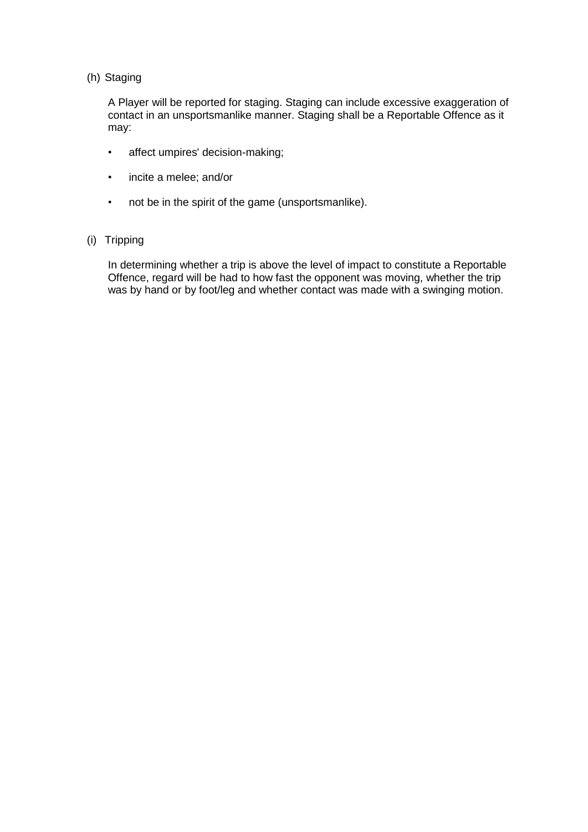## (h) Staging

A Player will be reported for staging. Staging can include excessive exaggeration of contact in an unsportsmanlike manner. Staging shall be a Reportable Offence as it may:

- affect umpires' decision-making;
- incite a melee; and/or
- not be in the spirit of the game (unsportsmanlike).

## (i) Tripping

In determining whether a trip is above the level of impact to constitute a Reportable Offence, regard will be had to how fast the opponent was moving, whether the trip was by hand or by foot/leg and whether contact was made with a swinging motion.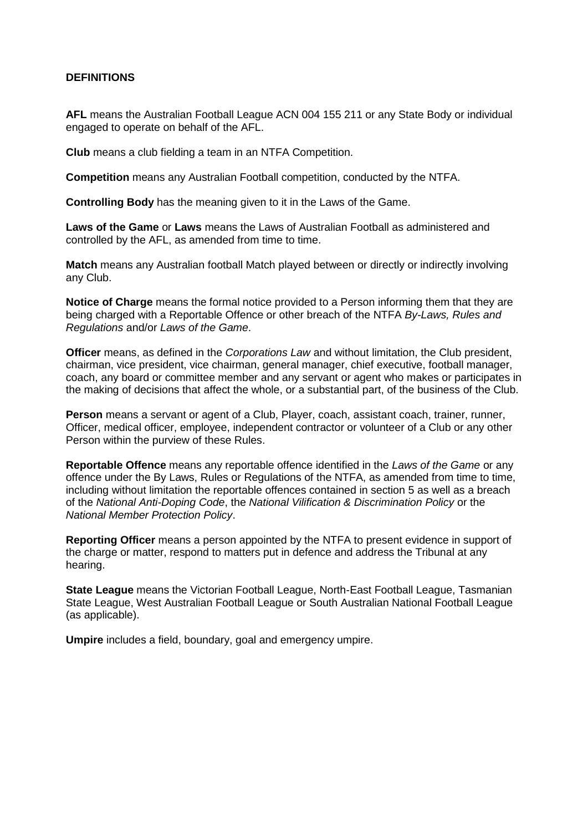## **DEFINITIONS**

**AFL** means the Australian Football League ACN 004 155 211 or any State Body or individual engaged to operate on behalf of the AFL.

**Club** means a club fielding a team in an NTFA Competition.

**Competition** means any Australian Football competition, conducted by the NTFA.

**Controlling Body** has the meaning given to it in the Laws of the Game.

**Laws of the Game** or **Laws** means the Laws of Australian Football as administered and controlled by the AFL, as amended from time to time.

**Match** means any Australian football Match played between or directly or indirectly involving any Club.

**Notice of Charge** means the formal notice provided to a Person informing them that they are being charged with a Reportable Offence or other breach of the NTFA *By-Laws, Rules and Regulations* and/or *Laws of the Game*.

**Officer** means, as defined in the *Corporations Law* and without limitation, the Club president, chairman, vice president, vice chairman, general manager, chief executive, football manager, coach, any board or committee member and any servant or agent who makes or participates in the making of decisions that affect the whole, or a substantial part, of the business of the Club.

**Person** means a servant or agent of a Club, Player, coach, assistant coach, trainer, runner, Officer, medical officer, employee, independent contractor or volunteer of a Club or any other Person within the purview of these Rules.

**Reportable Offence** means any reportable offence identified in the *Laws of the Game* or any offence under the By Laws, Rules or Regulations of the NTFA, as amended from time to time, including without limitation the reportable offences contained in section 5 as well as a breach of the *National Anti-Doping Code*, the *National Vilification & Discrimination Policy* or the *National Member Protection Policy*.

**Reporting Officer** means a person appointed by the NTFA to present evidence in support of the charge or matter, respond to matters put in defence and address the Tribunal at any hearing.

**State League** means the Victorian Football League, North-East Football League, Tasmanian State League, West Australian Football League or South Australian National Football League (as applicable).

**Umpire** includes a field, boundary, goal and emergency umpire.